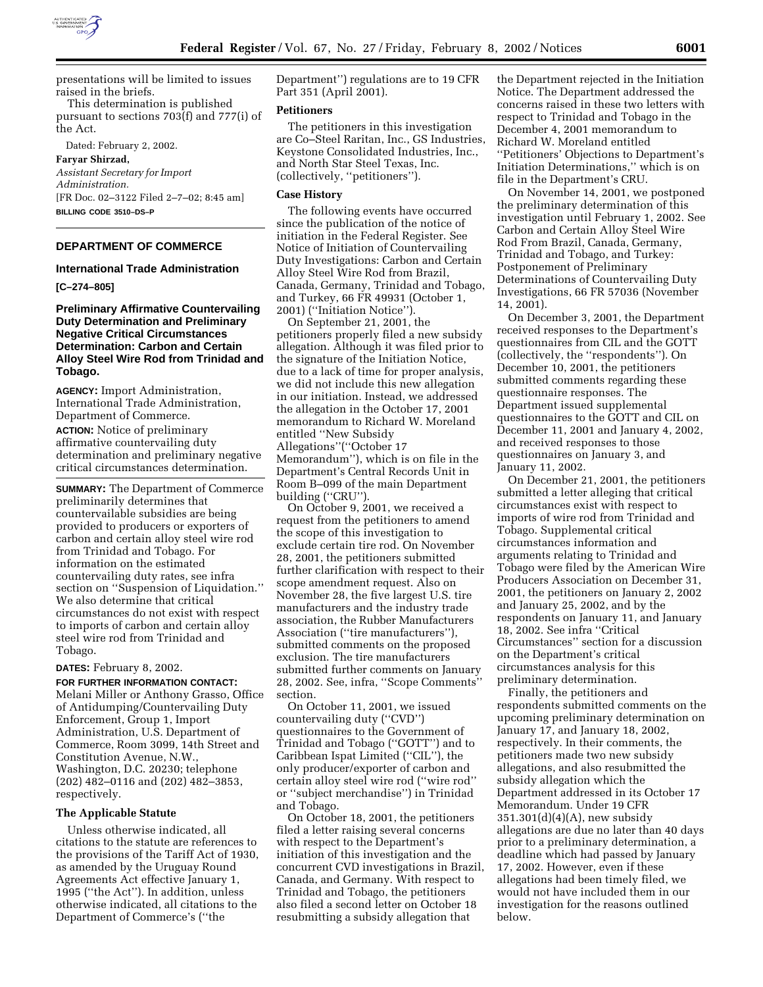

presentations will be limited to issues raised in the briefs.

This determination is published pursuant to sections 703(f) and 777(i) of the Act.

Dated: February 2, 2002.

**Faryar Shirzad,**

*Assistant Secretary for Import Administration.* [FR Doc. 02–3122 Filed 2–7–02; 8:45 am] **BILLING CODE 3510–DS–P**

# **DEPARTMENT OF COMMERCE**

#### **International Trade Administration**

**[C–274–805]**

# **Preliminary Affirmative Countervailing Duty Determination and Preliminary Negative Critical Circumstances Determination: Carbon and Certain Alloy Steel Wire Rod from Trinidad and Tobago.**

**AGENCY:** Import Administration, International Trade Administration, Department of Commerce.

**ACTION:** Notice of preliminary affirmative countervailing duty determination and preliminary negative critical circumstances determination.

**SUMMARY:** The Department of Commerce preliminarily determines that countervailable subsidies are being provided to producers or exporters of carbon and certain alloy steel wire rod from Trinidad and Tobago. For information on the estimated countervailing duty rates, see infra section on ''Suspension of Liquidation.'' We also determine that critical circumstances do not exist with respect to imports of carbon and certain alloy steel wire rod from Trinidad and Tobago.

#### **DATES:** February 8, 2002.

**FOR FURTHER INFORMATION CONTACT:** Melani Miller or Anthony Grasso, Office of Antidumping/Countervailing Duty Enforcement, Group 1, Import Administration, U.S. Department of Commerce, Room 3099, 14th Street and Constitution Avenue, N.W., Washington, D.C. 20230; telephone (202) 482–0116 and (202) 482–3853, respectively.

### **The Applicable Statute**

Unless otherwise indicated, all citations to the statute are references to the provisions of the Tariff Act of 1930, as amended by the Uruguay Round Agreements Act effective January 1, 1995 (''the Act''). In addition, unless otherwise indicated, all citations to the Department of Commerce's (''the

Department'') regulations are to 19 CFR Part 351 (April 2001).

## **Petitioners**

The petitioners in this investigation are Co–Steel Raritan, Inc., GS Industries, Keystone Consolidated Industries, Inc., and North Star Steel Texas, Inc. (collectively, ''petitioners'').

#### **Case History**

The following events have occurred since the publication of the notice of initiation in the Federal Register. See Notice of Initiation of Countervailing Duty Investigations: Carbon and Certain Alloy Steel Wire Rod from Brazil, Canada, Germany, Trinidad and Tobago, and Turkey, 66 FR 49931 (October 1, 2001) (''Initiation Notice'').

On September 21, 2001, the petitioners properly filed a new subsidy allegation. Although it was filed prior to the signature of the Initiation Notice, due to a lack of time for proper analysis, we did not include this new allegation in our initiation. Instead, we addressed the allegation in the October 17, 2001 memorandum to Richard W. Moreland entitled ''New Subsidy Allegations''(''October 17 Memorandum''), which is on file in the Department's Central Records Unit in Room B–099 of the main Department building (''CRU'').

On October 9, 2001, we received a request from the petitioners to amend the scope of this investigation to exclude certain tire rod. On November 28, 2001, the petitioners submitted further clarification with respect to their scope amendment request. Also on November 28, the five largest U.S. tire manufacturers and the industry trade association, the Rubber Manufacturers Association (''tire manufacturers''), submitted comments on the proposed exclusion. The tire manufacturers submitted further comments on January 28, 2002. See, infra, ''Scope Comments'' section.

On October 11, 2001, we issued countervailing duty (''CVD'') questionnaires to the Government of Trinidad and Tobago (''GOTT'') and to Caribbean Ispat Limited (''CIL''), the only producer/exporter of carbon and certain alloy steel wire rod (''wire rod'' or ''subject merchandise'') in Trinidad and Tobago.

On October 18, 2001, the petitioners filed a letter raising several concerns with respect to the Department's initiation of this investigation and the concurrent CVD investigations in Brazil, Canada, and Germany. With respect to Trinidad and Tobago, the petitioners also filed a second letter on October 18 resubmitting a subsidy allegation that

the Department rejected in the Initiation Notice. The Department addressed the concerns raised in these two letters with respect to Trinidad and Tobago in the December 4, 2001 memorandum to Richard W. Moreland entitled ''Petitioners' Objections to Department's Initiation Determinations,'' which is on file in the Department's CRU.

On November 14, 2001, we postponed the preliminary determination of this investigation until February 1, 2002. See Carbon and Certain Alloy Steel Wire Rod From Brazil, Canada, Germany, Trinidad and Tobago, and Turkey: Postponement of Preliminary Determinations of Countervailing Duty Investigations, 66 FR 57036 (November 14, 2001).

On December 3, 2001, the Department received responses to the Department's questionnaires from CIL and the GOTT (collectively, the ''respondents''). On December 10, 2001, the petitioners submitted comments regarding these questionnaire responses. The Department issued supplemental questionnaires to the GOTT and CIL on December 11, 2001 and January 4, 2002, and received responses to those questionnaires on January 3, and January 11, 2002.

On December 21, 2001, the petitioners submitted a letter alleging that critical circumstances exist with respect to imports of wire rod from Trinidad and Tobago. Supplemental critical circumstances information and arguments relating to Trinidad and Tobago were filed by the American Wire Producers Association on December 31, 2001, the petitioners on January 2, 2002 and January 25, 2002, and by the respondents on January 11, and January 18, 2002. See infra ''Critical Circumstances'' section for a discussion on the Department's critical circumstances analysis for this preliminary determination.

Finally, the petitioners and respondents submitted comments on the upcoming preliminary determination on January 17, and January 18, 2002, respectively. In their comments, the petitioners made two new subsidy allegations, and also resubmitted the subsidy allegation which the Department addressed in its October 17 Memorandum. Under 19 CFR 351.301(d)(4)(A), new subsidy allegations are due no later than 40 days prior to a preliminary determination, a deadline which had passed by January 17, 2002. However, even if these allegations had been timely filed, we would not have included them in our investigation for the reasons outlined below.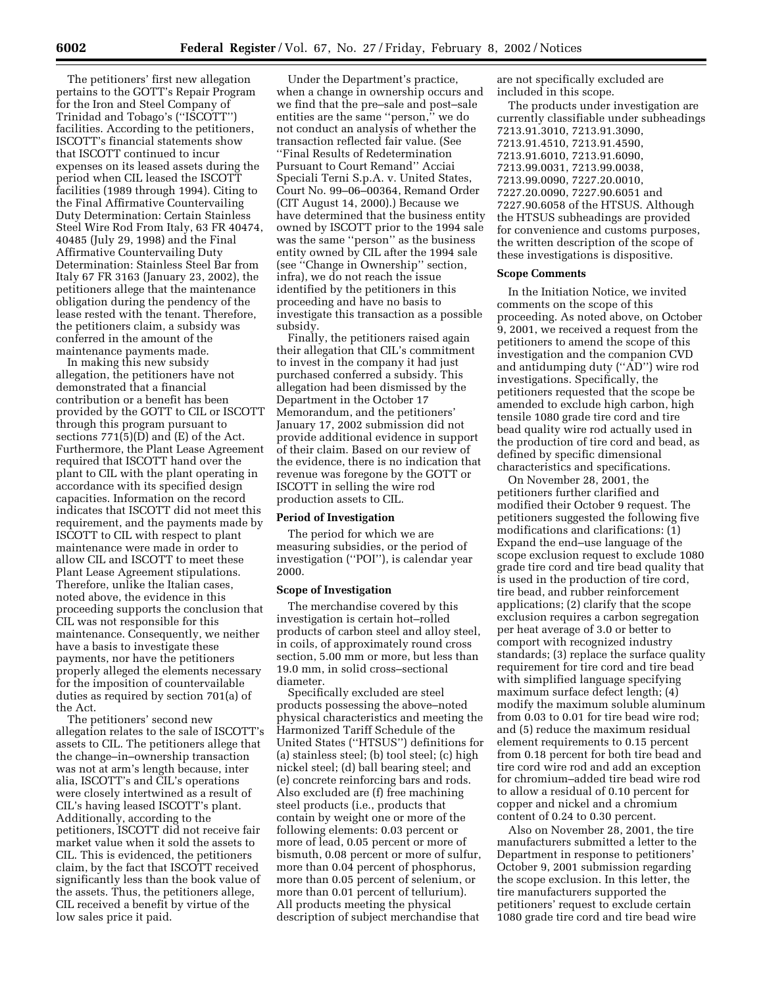The petitioners' first new allegation pertains to the GOTT's Repair Program for the Iron and Steel Company of Trinidad and Tobago's (''ISCOTT'') facilities. According to the petitioners, ISCOTT's financial statements show that ISCOTT continued to incur expenses on its leased assets during the period when CIL leased the ISCOTT facilities (1989 through 1994). Citing to the Final Affirmative Countervailing Duty Determination: Certain Stainless Steel Wire Rod From Italy, 63 FR 40474, 40485 (July 29, 1998) and the Final Affirmative Countervailing Duty Determination: Stainless Steel Bar from Italy 67 FR 3163 (January 23, 2002), the petitioners allege that the maintenance obligation during the pendency of the lease rested with the tenant. Therefore, the petitioners claim, a subsidy was conferred in the amount of the maintenance payments made.

In making this new subsidy allegation, the petitioners have not demonstrated that a financial contribution or a benefit has been provided by the GOTT to CIL or ISCOTT through this program pursuant to sections  $771(5)(D)$  and  $(E)$  of the Act. Furthermore, the Plant Lease Agreement required that ISCOTT hand over the plant to CIL with the plant operating in accordance with its specified design capacities. Information on the record indicates that ISCOTT did not meet this requirement, and the payments made by ISCOTT to CIL with respect to plant maintenance were made in order to allow CIL and ISCOTT to meet these Plant Lease Agreement stipulations. Therefore, unlike the Italian cases, noted above, the evidence in this proceeding supports the conclusion that CIL was not responsible for this maintenance. Consequently, we neither have a basis to investigate these payments, nor have the petitioners properly alleged the elements necessary for the imposition of countervailable duties as required by section 701(a) of the Act.

The petitioners' second new allegation relates to the sale of ISCOTT's assets to CIL. The petitioners allege that the change–in–ownership transaction was not at arm's length because, inter alia, ISCOTT's and CIL's operations were closely intertwined as a result of CIL's having leased ISCOTT's plant. Additionally, according to the petitioners, ISCOTT did not receive fair market value when it sold the assets to CIL. This is evidenced, the petitioners claim, by the fact that ISCOTT received significantly less than the book value of the assets. Thus, the petitioners allege, CIL received a benefit by virtue of the low sales price it paid.

Under the Department's practice, when a change in ownership occurs and we find that the pre–sale and post–sale entities are the same ''person,'' we do not conduct an analysis of whether the transaction reflected fair value. (See ''Final Results of Redetermination Pursuant to Court Remand'' Acciai Speciali Terni S.p.A. v. United States, Court No. 99–06–00364, Remand Order (CIT August 14, 2000).) Because we have determined that the business entity owned by ISCOTT prior to the 1994 sale was the same ''person'' as the business entity owned by CIL after the 1994 sale (see ''Change in Ownership'' section, infra), we do not reach the issue identified by the petitioners in this proceeding and have no basis to investigate this transaction as a possible subsidy.

Finally, the petitioners raised again their allegation that CIL's commitment to invest in the company it had just purchased conferred a subsidy. This allegation had been dismissed by the Department in the October 17 Memorandum, and the petitioners' January 17, 2002 submission did not provide additional evidence in support of their claim. Based on our review of the evidence, there is no indication that revenue was foregone by the GOTT or ISCOTT in selling the wire rod production assets to CIL.

#### **Period of Investigation**

The period for which we are measuring subsidies, or the period of investigation (''POI''), is calendar year 2000.

### **Scope of Investigation**

The merchandise covered by this investigation is certain hot–rolled products of carbon steel and alloy steel, in coils, of approximately round cross section, 5.00 mm or more, but less than 19.0 mm, in solid cross–sectional diameter.

Specifically excluded are steel products possessing the above–noted physical characteristics and meeting the Harmonized Tariff Schedule of the United States (''HTSUS'') definitions for (a) stainless steel; (b) tool steel; (c) high nickel steel; (d) ball bearing steel; and (e) concrete reinforcing bars and rods. Also excluded are (f) free machining steel products (i.e., products that contain by weight one or more of the following elements: 0.03 percent or more of lead, 0.05 percent or more of bismuth, 0.08 percent or more of sulfur, more than 0.04 percent of phosphorus, more than 0.05 percent of selenium, or more than 0.01 percent of tellurium). All products meeting the physical description of subject merchandise that

are not specifically excluded are included in this scope.

The products under investigation are currently classifiable under subheadings 7213.91.3010, 7213.91.3090, 7213.91.4510, 7213.91.4590, 7213.91.6010, 7213.91.6090, 7213.99.0031, 7213.99.0038, 7213.99.0090, 7227.20.0010, 7227.20.0090, 7227.90.6051 and 7227.90.6058 of the HTSUS. Although the HTSUS subheadings are provided for convenience and customs purposes, the written description of the scope of these investigations is dispositive.

### **Scope Comments**

In the Initiation Notice, we invited comments on the scope of this proceeding. As noted above, on October 9, 2001, we received a request from the petitioners to amend the scope of this investigation and the companion CVD and antidumping duty (''AD'') wire rod investigations. Specifically, the petitioners requested that the scope be amended to exclude high carbon, high tensile 1080 grade tire cord and tire bead quality wire rod actually used in the production of tire cord and bead, as defined by specific dimensional characteristics and specifications.

On November 28, 2001, the petitioners further clarified and modified their October 9 request. The petitioners suggested the following five modifications and clarifications: (1) Expand the end–use language of the scope exclusion request to exclude 1080 grade tire cord and tire bead quality that is used in the production of tire cord, tire bead, and rubber reinforcement applications; (2) clarify that the scope exclusion requires a carbon segregation per heat average of 3.0 or better to comport with recognized industry standards; (3) replace the surface quality requirement for tire cord and tire bead with simplified language specifying maximum surface defect length; (4) modify the maximum soluble aluminum from 0.03 to 0.01 for tire bead wire rod; and (5) reduce the maximum residual element requirements to 0.15 percent from 0.18 percent for both tire bead and tire cord wire rod and add an exception for chromium–added tire bead wire rod to allow a residual of 0.10 percent for copper and nickel and a chromium content of 0.24 to 0.30 percent.

Also on November 28, 2001, the tire manufacturers submitted a letter to the Department in response to petitioners' October 9, 2001 submission regarding the scope exclusion. In this letter, the tire manufacturers supported the petitioners' request to exclude certain 1080 grade tire cord and tire bead wire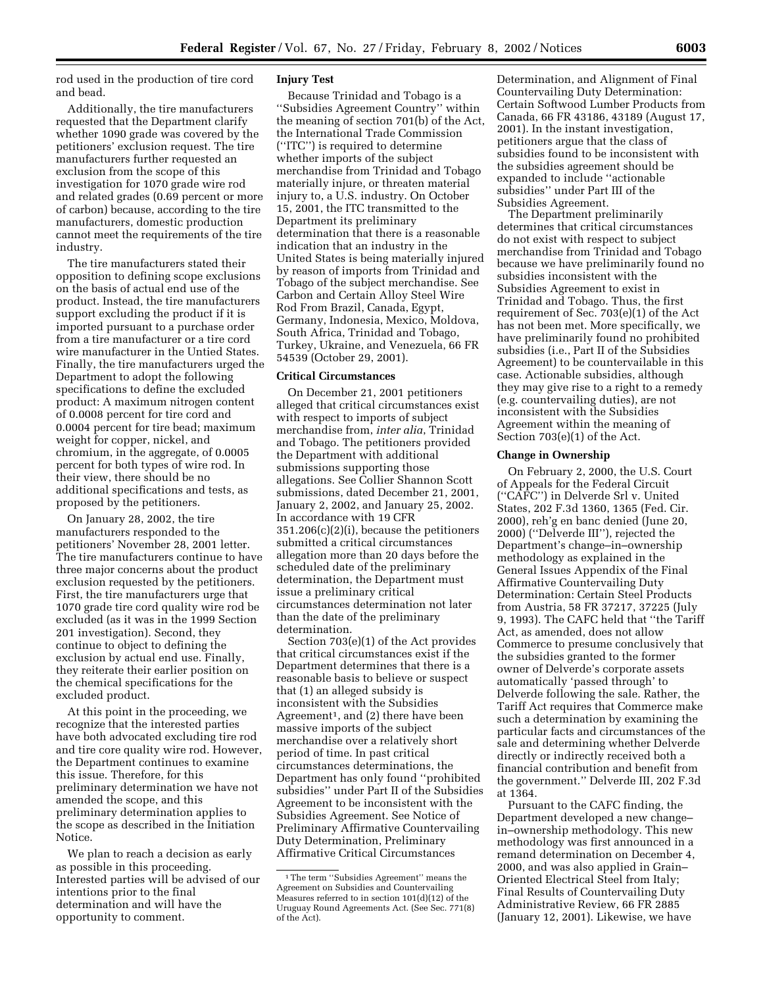rod used in the production of tire cord and bead.

Additionally, the tire manufacturers requested that the Department clarify whether 1090 grade was covered by the petitioners' exclusion request. The tire manufacturers further requested an exclusion from the scope of this investigation for 1070 grade wire rod and related grades (0.69 percent or more of carbon) because, according to the tire manufacturers, domestic production cannot meet the requirements of the tire industry.

The tire manufacturers stated their opposition to defining scope exclusions on the basis of actual end use of the product. Instead, the tire manufacturers support excluding the product if it is imported pursuant to a purchase order from a tire manufacturer or a tire cord wire manufacturer in the Untied States. Finally, the tire manufacturers urged the Department to adopt the following specifications to define the excluded product: A maximum nitrogen content of 0.0008 percent for tire cord and 0.0004 percent for tire bead; maximum weight for copper, nickel, and chromium, in the aggregate, of 0.0005 percent for both types of wire rod. In their view, there should be no additional specifications and tests, as proposed by the petitioners.

On January 28, 2002, the tire manufacturers responded to the petitioners' November 28, 2001 letter. The tire manufacturers continue to have three major concerns about the product exclusion requested by the petitioners. First, the tire manufacturers urge that 1070 grade tire cord quality wire rod be excluded (as it was in the 1999 Section 201 investigation). Second, they continue to object to defining the exclusion by actual end use. Finally, they reiterate their earlier position on the chemical specifications for the excluded product.

At this point in the proceeding, we recognize that the interested parties have both advocated excluding tire rod and tire core quality wire rod. However, the Department continues to examine this issue. Therefore, for this preliminary determination we have not amended the scope, and this preliminary determination applies to the scope as described in the Initiation Notice.

We plan to reach a decision as early as possible in this proceeding. Interested parties will be advised of our intentions prior to the final determination and will have the opportunity to comment.

## **Injury Test**

Because Trinidad and Tobago is a ''Subsidies Agreement Country'' within the meaning of section 701(b) of the Act, the International Trade Commission (''ITC'') is required to determine whether imports of the subject merchandise from Trinidad and Tobago materially injure, or threaten material injury to, a U.S. industry. On October 15, 2001, the ITC transmitted to the Department its preliminary determination that there is a reasonable indication that an industry in the United States is being materially injured by reason of imports from Trinidad and Tobago of the subject merchandise. See Carbon and Certain Alloy Steel Wire Rod From Brazil, Canada, Egypt, Germany, Indonesia, Mexico, Moldova, South Africa, Trinidad and Tobago, Turkey, Ukraine, and Venezuela, 66 FR 54539 (October 29, 2001).

#### **Critical Circumstances**

On December 21, 2001 petitioners alleged that critical circumstances exist with respect to imports of subject merchandise from, *inter alia*, Trinidad and Tobago. The petitioners provided the Department with additional submissions supporting those allegations. See Collier Shannon Scott submissions, dated December 21, 2001, January 2, 2002, and January 25, 2002. In accordance with 19 CFR 351.206(c)(2)(i), because the petitioners submitted a critical circumstances allegation more than 20 days before the scheduled date of the preliminary determination, the Department must issue a preliminary critical circumstances determination not later than the date of the preliminary determination.

Section 703(e)(1) of the Act provides that critical circumstances exist if the Department determines that there is a reasonable basis to believe or suspect that (1) an alleged subsidy is inconsistent with the Subsidies Agreement<sup>1</sup>, and (2) there have been massive imports of the subject merchandise over a relatively short period of time. In past critical circumstances determinations, the Department has only found ''prohibited subsidies'' under Part II of the Subsidies Agreement to be inconsistent with the Subsidies Agreement. See Notice of Preliminary Affirmative Countervailing Duty Determination, Preliminary Affirmative Critical Circumstances

Determination, and Alignment of Final Countervailing Duty Determination: Certain Softwood Lumber Products from Canada, 66 FR 43186, 43189 (August 17, 2001). In the instant investigation, petitioners argue that the class of subsidies found to be inconsistent with the subsidies agreement should be expanded to include ''actionable subsidies'' under Part III of the Subsidies Agreement.

The Department preliminarily determines that critical circumstances do not exist with respect to subject merchandise from Trinidad and Tobago because we have preliminarily found no subsidies inconsistent with the Subsidies Agreement to exist in Trinidad and Tobago. Thus, the first requirement of Sec. 703(e)(1) of the Act has not been met. More specifically, we have preliminarily found no prohibited subsidies (i.e., Part II of the Subsidies Agreement) to be countervailable in this case. Actionable subsidies, although they may give rise to a right to a remedy (e.g. countervailing duties), are not inconsistent with the Subsidies Agreement within the meaning of Section 703(e)(1) of the Act.

# **Change in Ownership**

On February 2, 2000, the U.S. Court of Appeals for the Federal Circuit (''CAFC'') in Delverde Srl v. United States, 202 F.3d 1360, 1365 (Fed. Cir. 2000), reh'g en banc denied (June 20, 2000) (''Delverde III''), rejected the Department's change–in–ownership methodology as explained in the General Issues Appendix of the Final Affirmative Countervailing Duty Determination: Certain Steel Products from Austria, 58 FR 37217, 37225 (July 9, 1993). The CAFC held that ''the Tariff Act, as amended, does not allow Commerce to presume conclusively that the subsidies granted to the former owner of Delverde's corporate assets automatically 'passed through' to Delverde following the sale. Rather, the Tariff Act requires that Commerce make such a determination by examining the particular facts and circumstances of the sale and determining whether Delverde directly or indirectly received both a financial contribution and benefit from the government.'' Delverde III, 202 F.3d at 1364.

Pursuant to the CAFC finding, the Department developed a new change– in–ownership methodology. This new methodology was first announced in a remand determination on December 4, 2000, and was also applied in Grain– Oriented Electrical Steel from Italy; Final Results of Countervailing Duty Administrative Review, 66 FR 2885 (January 12, 2001). Likewise, we have

<sup>1</sup>The term ''Subsidies Agreement'' means the Agreement on Subsidies and Countervailing Measures referred to in section 101(d)(12) of the Uruguay Round Agreements Act. (See Sec. 771(8) of the Act).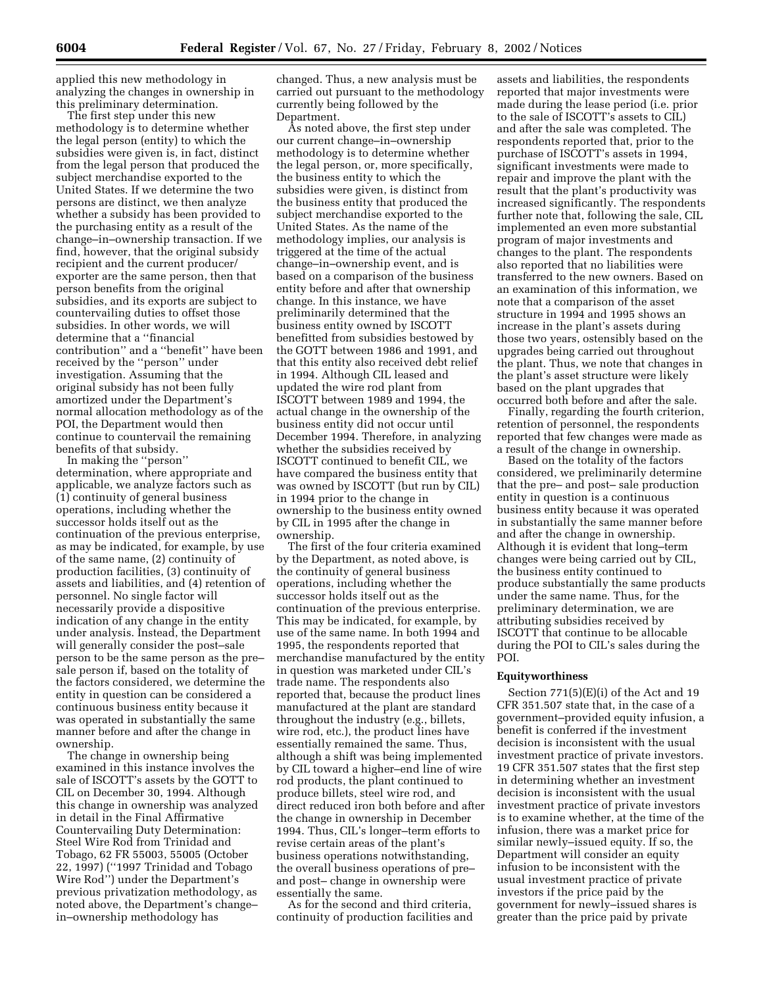applied this new methodology in analyzing the changes in ownership in this preliminary determination.

The first step under this new methodology is to determine whether the legal person (entity) to which the subsidies were given is, in fact, distinct from the legal person that produced the subject merchandise exported to the United States. If we determine the two persons are distinct, we then analyze whether a subsidy has been provided to the purchasing entity as a result of the change–in–ownership transaction. If we find, however, that the original subsidy recipient and the current producer/ exporter are the same person, then that person benefits from the original subsidies, and its exports are subject to countervailing duties to offset those subsidies. In other words, we will determine that a ''financial contribution'' and a ''benefit'' have been received by the ''person'' under investigation. Assuming that the original subsidy has not been fully amortized under the Department's normal allocation methodology as of the POI, the Department would then continue to countervail the remaining benefits of that subsidy.

In making the ''person'' determination, where appropriate and applicable, we analyze factors such as (1) continuity of general business operations, including whether the successor holds itself out as the continuation of the previous enterprise, as may be indicated, for example, by use of the same name, (2) continuity of production facilities, (3) continuity of assets and liabilities, and (4) retention of personnel. No single factor will necessarily provide a dispositive indication of any change in the entity under analysis. Instead, the Department will generally consider the post–sale person to be the same person as the pre– sale person if, based on the totality of the factors considered, we determine the entity in question can be considered a continuous business entity because it was operated in substantially the same manner before and after the change in ownership.

The change in ownership being examined in this instance involves the sale of ISCOTT's assets by the GOTT to CIL on December 30, 1994. Although this change in ownership was analyzed in detail in the Final Affirmative Countervailing Duty Determination: Steel Wire Rod from Trinidad and Tobago, 62 FR 55003, 55005 (October 22, 1997) (''1997 Trinidad and Tobago Wire Rod'') under the Department's previous privatization methodology, as noted above, the Department's change– in–ownership methodology has

changed. Thus, a new analysis must be carried out pursuant to the methodology currently being followed by the Department.

As noted above, the first step under our current change–in–ownership methodology is to determine whether the legal person, or, more specifically, the business entity to which the subsidies were given, is distinct from the business entity that produced the subject merchandise exported to the United States. As the name of the methodology implies, our analysis is triggered at the time of the actual change–in–ownership event, and is based on a comparison of the business entity before and after that ownership change. In this instance, we have preliminarily determined that the business entity owned by ISCOTT benefitted from subsidies bestowed by the GOTT between 1986 and 1991, and that this entity also received debt relief in 1994. Although CIL leased and updated the wire rod plant from ISCOTT between 1989 and 1994, the actual change in the ownership of the business entity did not occur until December 1994. Therefore, in analyzing whether the subsidies received by ISCOTT continued to benefit CIL, we have compared the business entity that was owned by ISCOTT (but run by CIL) in 1994 prior to the change in ownership to the business entity owned by CIL in 1995 after the change in ownership.

The first of the four criteria examined by the Department, as noted above, is the continuity of general business operations, including whether the successor holds itself out as the continuation of the previous enterprise. This may be indicated, for example, by use of the same name. In both 1994 and 1995, the respondents reported that merchandise manufactured by the entity in question was marketed under CIL's trade name. The respondents also reported that, because the product lines manufactured at the plant are standard throughout the industry (e.g., billets, wire rod, etc.), the product lines have essentially remained the same. Thus, although a shift was being implemented by CIL toward a higher–end line of wire rod products, the plant continued to produce billets, steel wire rod, and direct reduced iron both before and after the change in ownership in December 1994. Thus, CIL's longer–term efforts to revise certain areas of the plant's business operations notwithstanding, the overall business operations of pre– and post– change in ownership were essentially the same.

As for the second and third criteria, continuity of production facilities and

assets and liabilities, the respondents reported that major investments were made during the lease period (i.e. prior to the sale of ISCOTT's assets to CIL) and after the sale was completed. The respondents reported that, prior to the purchase of ISCOTT's assets in 1994, significant investments were made to repair and improve the plant with the result that the plant's productivity was increased significantly. The respondents further note that, following the sale, CIL implemented an even more substantial program of major investments and changes to the plant. The respondents also reported that no liabilities were transferred to the new owners. Based on an examination of this information, we note that a comparison of the asset structure in 1994 and 1995 shows an increase in the plant's assets during those two years, ostensibly based on the upgrades being carried out throughout the plant. Thus, we note that changes in the plant's asset structure were likely based on the plant upgrades that occurred both before and after the sale.

Finally, regarding the fourth criterion, retention of personnel, the respondents reported that few changes were made as a result of the change in ownership.

Based on the totality of the factors considered, we preliminarily determine that the pre– and post– sale production entity in question is a continuous business entity because it was operated in substantially the same manner before and after the change in ownership. Although it is evident that long–term changes were being carried out by CIL, the business entity continued to produce substantially the same products under the same name. Thus, for the preliminary determination, we are attributing subsidies received by ISCOTT that continue to be allocable during the POI to CIL's sales during the POI.

### **Equityworthiness**

Section 771(5)(E)(i) of the Act and 19 CFR 351.507 state that, in the case of a government–provided equity infusion, a benefit is conferred if the investment decision is inconsistent with the usual investment practice of private investors. 19 CFR 351.507 states that the first step in determining whether an investment decision is inconsistent with the usual investment practice of private investors is to examine whether, at the time of the infusion, there was a market price for similar newly–issued equity. If so, the Department will consider an equity infusion to be inconsistent with the usual investment practice of private investors if the price paid by the government for newly–issued shares is greater than the price paid by private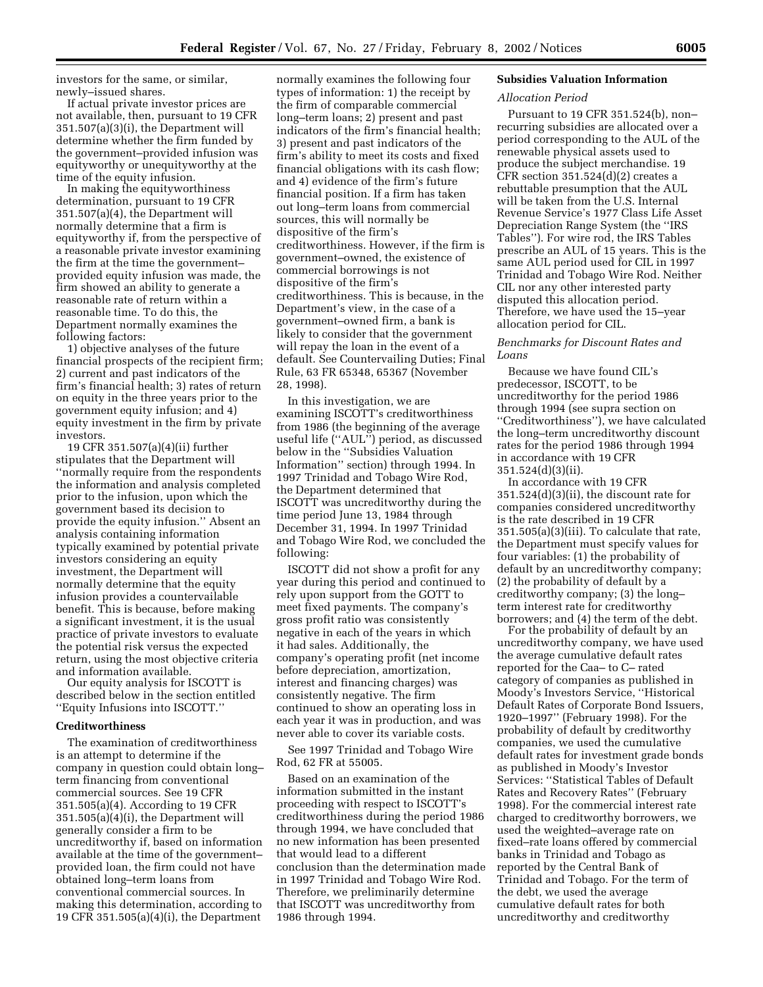investors for the same, or similar, newly–issued shares.

If actual private investor prices are not available, then, pursuant to 19 CFR 351.507(a)(3)(i), the Department will determine whether the firm funded by the government–provided infusion was equityworthy or unequityworthy at the time of the equity infusion.

In making the equityworthiness determination, pursuant to 19 CFR 351.507(a)(4), the Department will normally determine that a firm is equityworthy if, from the perspective of a reasonable private investor examining the firm at the time the government– provided equity infusion was made, the firm showed an ability to generate a reasonable rate of return within a reasonable time. To do this, the Department normally examines the following factors:

1) objective analyses of the future financial prospects of the recipient firm; 2) current and past indicators of the firm's financial health; 3) rates of return on equity in the three years prior to the government equity infusion; and 4) equity investment in the firm by private investors.

19 CFR 351.507(a)(4)(ii) further stipulates that the Department will ''normally require from the respondents the information and analysis completed prior to the infusion, upon which the government based its decision to provide the equity infusion.'' Absent an analysis containing information typically examined by potential private investors considering an equity investment, the Department will normally determine that the equity infusion provides a countervailable benefit. This is because, before making a significant investment, it is the usual practice of private investors to evaluate the potential risk versus the expected return, using the most objective criteria and information available.

Our equity analysis for ISCOTT is described below in the section entitled ''Equity Infusions into ISCOTT.''

#### **Creditworthiness**

The examination of creditworthiness is an attempt to determine if the company in question could obtain long– term financing from conventional commercial sources. See 19 CFR 351.505(a)(4). According to 19 CFR 351.505(a)(4)(i), the Department will generally consider a firm to be uncreditworthy if, based on information available at the time of the government– provided loan, the firm could not have obtained long–term loans from conventional commercial sources. In making this determination, according to 19 CFR 351.505(a)(4)(i), the Department

normally examines the following four types of information: 1) the receipt by the firm of comparable commercial long–term loans; 2) present and past indicators of the firm's financial health; 3) present and past indicators of the firm's ability to meet its costs and fixed financial obligations with its cash flow; and 4) evidence of the firm's future financial position. If a firm has taken out long–term loans from commercial sources, this will normally be dispositive of the firm's creditworthiness. However, if the firm is government–owned, the existence of commercial borrowings is not dispositive of the firm's creditworthiness. This is because, in the Department's view, in the case of a government–owned firm, a bank is likely to consider that the government will repay the loan in the event of a default. See Countervailing Duties; Final Rule, 63 FR 65348, 65367 (November 28, 1998).

In this investigation, we are examining ISCOTT's creditworthiness from 1986 (the beginning of the average useful life (''AUL'') period, as discussed below in the ''Subsidies Valuation Information'' section) through 1994. In 1997 Trinidad and Tobago Wire Rod, the Department determined that ISCOTT was uncreditworthy during the time period June 13, 1984 through December 31, 1994. In 1997 Trinidad and Tobago Wire Rod, we concluded the following:

ISCOTT did not show a profit for any year during this period and continued to rely upon support from the GOTT to meet fixed payments. The company's gross profit ratio was consistently negative in each of the years in which it had sales. Additionally, the company's operating profit (net income before depreciation, amortization, interest and financing charges) was consistently negative. The firm continued to show an operating loss in each year it was in production, and was never able to cover its variable costs.

See 1997 Trinidad and Tobago Wire Rod, 62 FR at 55005.

Based on an examination of the information submitted in the instant proceeding with respect to ISCOTT's creditworthiness during the period 1986 through 1994, we have concluded that no new information has been presented that would lead to a different conclusion than the determination made in 1997 Trinidad and Tobago Wire Rod. Therefore, we preliminarily determine that ISCOTT was uncreditworthy from 1986 through 1994.

# **Subsidies Valuation Information**

# *Allocation Period*

Pursuant to 19 CFR 351.524(b), non– recurring subsidies are allocated over a period corresponding to the AUL of the renewable physical assets used to produce the subject merchandise. 19 CFR section  $351.524(d)(2)$  creates a rebuttable presumption that the AUL will be taken from the U.S. Internal Revenue Service's 1977 Class Life Asset Depreciation Range System (the ''IRS Tables''). For wire rod, the IRS Tables prescribe an AUL of 15 years. This is the same AUL period used for CIL in 1997 Trinidad and Tobago Wire Rod. Neither CIL nor any other interested party disputed this allocation period. Therefore, we have used the 15–year allocation period for CIL.

## *Benchmarks for Discount Rates and Loans*

Because we have found CIL's predecessor, ISCOTT, to be uncreditworthy for the period 1986 through 1994 (see supra section on ''Creditworthiness''), we have calculated the long–term uncreditworthy discount rates for the period 1986 through 1994 in accordance with 19 CFR 351.524(d)(3)(ii).

In accordance with 19 CFR 351.524(d)(3)(ii), the discount rate for companies considered uncreditworthy is the rate described in 19 CFR 351.505(a)(3)(iii). To calculate that rate, the Department must specify values for four variables: (1) the probability of default by an uncreditworthy company; (2) the probability of default by a creditworthy company; (3) the long– term interest rate for creditworthy borrowers; and (4) the term of the debt.

For the probability of default by an uncreditworthy company, we have used the average cumulative default rates reported for the Caa– to C– rated category of companies as published in Moody's Investors Service, ''Historical Default Rates of Corporate Bond Issuers, 1920–1997'' (February 1998). For the probability of default by creditworthy companies, we used the cumulative default rates for investment grade bonds as published in Moody's Investor Services: ''Statistical Tables of Default Rates and Recovery Rates'' (February 1998). For the commercial interest rate charged to creditworthy borrowers, we used the weighted–average rate on fixed–rate loans offered by commercial banks in Trinidad and Tobago as reported by the Central Bank of Trinidad and Tobago. For the term of the debt, we used the average cumulative default rates for both uncreditworthy and creditworthy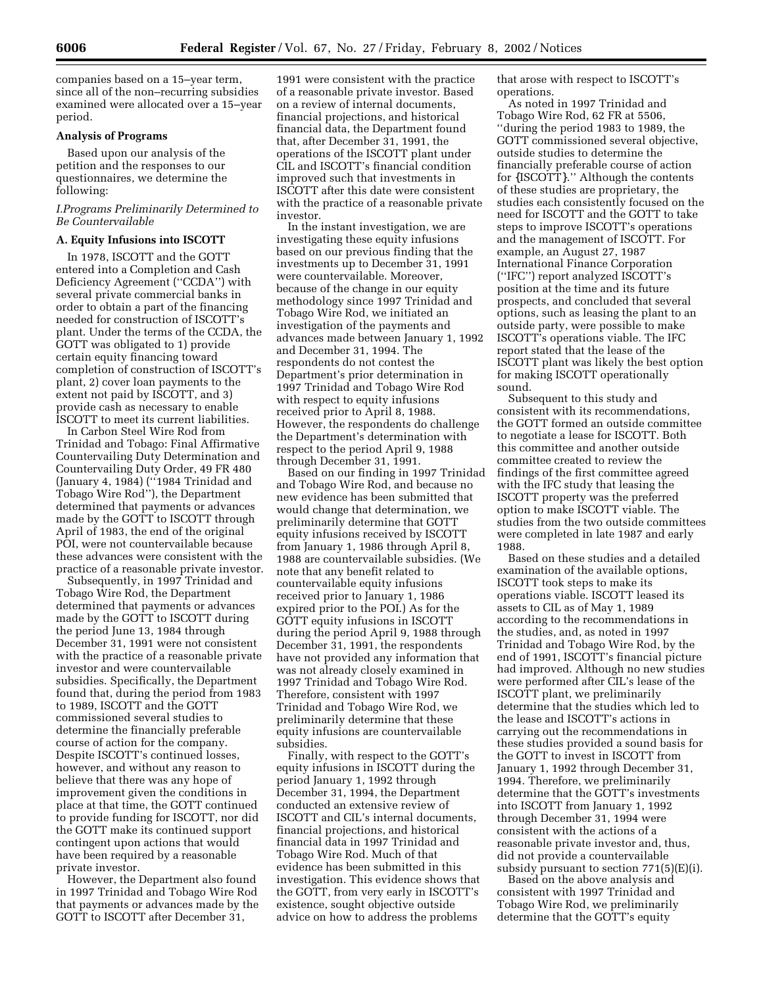companies based on a 15–year term, since all of the non–recurring subsidies examined were allocated over a 15–year period.

### **Analysis of Programs**

Based upon our analysis of the petition and the responses to our questionnaires, we determine the following:

### *I.Programs Preliminarily Determined to Be Countervailable*

## **A. Equity Infusions into ISCOTT**

In 1978, ISCOTT and the GOTT entered into a Completion and Cash Deficiency Agreement (''CCDA'') with several private commercial banks in order to obtain a part of the financing needed for construction of ISCOTT's plant. Under the terms of the CCDA, the GOTT was obligated to 1) provide certain equity financing toward completion of construction of ISCOTT's plant, 2) cover loan payments to the extent not paid by ISCOTT, and 3) provide cash as necessary to enable ISCOTT to meet its current liabilities.

In Carbon Steel Wire Rod from Trinidad and Tobago: Final Affirmative Countervailing Duty Determination and Countervailing Duty Order, 49 FR 480 (January 4, 1984) (''1984 Trinidad and Tobago Wire Rod''), the Department determined that payments or advances made by the GOTT to ISCOTT through April of 1983, the end of the original POI, were not countervailable because these advances were consistent with the practice of a reasonable private investor.

Subsequently, in 1997 Trinidad and Tobago Wire Rod, the Department determined that payments or advances made by the GOTT to ISCOTT during the period June 13, 1984 through December 31, 1991 were not consistent with the practice of a reasonable private investor and were countervailable subsidies. Specifically, the Department found that, during the period from 1983 to 1989, ISCOTT and the GOTT commissioned several studies to determine the financially preferable course of action for the company. Despite ISCOTT's continued losses, however, and without any reason to believe that there was any hope of improvement given the conditions in place at that time, the GOTT continued to provide funding for ISCOTT, nor did the GOTT make its continued support contingent upon actions that would have been required by a reasonable private investor.

However, the Department also found in 1997 Trinidad and Tobago Wire Rod that payments or advances made by the GOTT to ISCOTT after December 31,

1991 were consistent with the practice of a reasonable private investor. Based on a review of internal documents, financial projections, and historical financial data, the Department found that, after December 31, 1991, the operations of the ISCOTT plant under CIL and ISCOTT's financial condition improved such that investments in ISCOTT after this date were consistent with the practice of a reasonable private investor.

In the instant investigation, we are investigating these equity infusions based on our previous finding that the investments up to December 31, 1991 were countervailable. Moreover, because of the change in our equity methodology since 1997 Trinidad and Tobago Wire Rod, we initiated an investigation of the payments and advances made between January 1, 1992 and December 31, 1994. The respondents do not contest the Department's prior determination in 1997 Trinidad and Tobago Wire Rod with respect to equity infusions received prior to April 8, 1988. However, the respondents do challenge the Department's determination with respect to the period April 9, 1988 through December 31, 1991.

Based on our finding in 1997 Trinidad and Tobago Wire Rod, and because no new evidence has been submitted that would change that determination, we preliminarily determine that GOTT equity infusions received by ISCOTT from January 1, 1986 through April 8, 1988 are countervailable subsidies. (We note that any benefit related to countervailable equity infusions received prior to January 1, 1986 expired prior to the POI.) As for the GOTT equity infusions in ISCOTT during the period April 9, 1988 through December 31, 1991, the respondents have not provided any information that was not already closely examined in 1997 Trinidad and Tobago Wire Rod. Therefore, consistent with 1997 Trinidad and Tobago Wire Rod, we preliminarily determine that these equity infusions are countervailable subsidies.

Finally, with respect to the GOTT's equity infusions in ISCOTT during the period January 1, 1992 through December 31, 1994, the Department conducted an extensive review of ISCOTT and CIL's internal documents, financial projections, and historical financial data in 1997 Trinidad and Tobago Wire Rod. Much of that evidence has been submitted in this investigation. This evidence shows that the GOTT, from very early in ISCOTT's existence, sought objective outside advice on how to address the problems

that arose with respect to ISCOTT's operations.

As noted in 1997 Trinidad and Tobago Wire Rod, 62 FR at 5506, ''during the period 1983 to 1989, the GOTT commissioned several objective, outside studies to determine the financially preferable course of action for {ISCOTT}.'' Although the contents of these studies are proprietary, the studies each consistently focused on the need for ISCOTT and the GOTT to take steps to improve ISCOTT's operations and the management of ISCOTT. For example, an August 27, 1987 International Finance Corporation (''IFC'') report analyzed ISCOTT's position at the time and its future prospects, and concluded that several options, such as leasing the plant to an outside party, were possible to make ISCOTT's operations viable. The IFC report stated that the lease of the ISCOTT plant was likely the best option for making ISCOTT operationally sound.

Subsequent to this study and consistent with its recommendations, the GOTT formed an outside committee to negotiate a lease for ISCOTT. Both this committee and another outside committee created to review the findings of the first committee agreed with the IFC study that leasing the ISCOTT property was the preferred option to make ISCOTT viable. The studies from the two outside committees were completed in late 1987 and early 1988.

Based on these studies and a detailed examination of the available options, ISCOTT took steps to make its operations viable. ISCOTT leased its assets to CIL as of May 1, 1989 according to the recommendations in the studies, and, as noted in 1997 Trinidad and Tobago Wire Rod, by the end of 1991, ISCOTT's financial picture had improved. Although no new studies were performed after CIL's lease of the ISCOTT plant, we preliminarily determine that the studies which led to the lease and ISCOTT's actions in carrying out the recommendations in these studies provided a sound basis for the GOTT to invest in ISCOTT from January 1, 1992 through December 31, 1994. Therefore, we preliminarily determine that the GOTT's investments into ISCOTT from January 1, 1992 through December 31, 1994 were consistent with the actions of a reasonable private investor and, thus, did not provide a countervailable subsidy pursuant to section 771(5)(E)(i).

Based on the above analysis and consistent with 1997 Trinidad and Tobago Wire Rod, we preliminarily determine that the GOTT's equity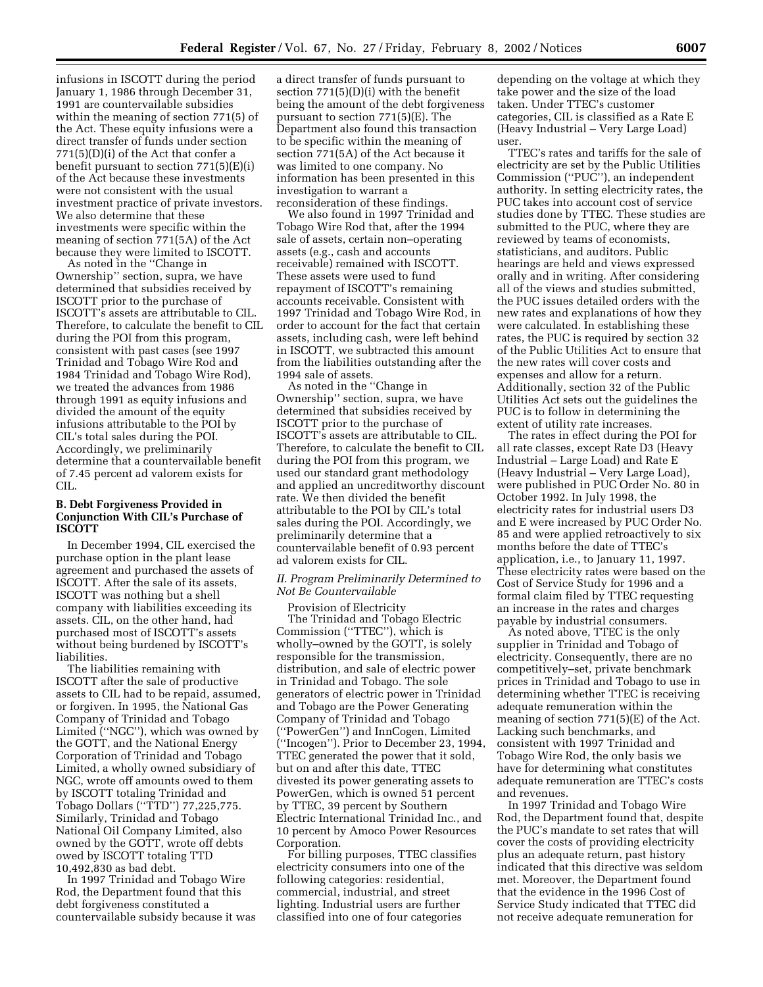infusions in ISCOTT during the period January 1, 1986 through December 31, 1991 are countervailable subsidies within the meaning of section 771(5) of the Act. These equity infusions were a direct transfer of funds under section 771(5)(D)(i) of the Act that confer a benefit pursuant to section 771(5)(E)(i) of the Act because these investments were not consistent with the usual investment practice of private investors. We also determine that these investments were specific within the meaning of section 771(5A) of the Act because they were limited to ISCOTT.

As noted in the ''Change in Ownership'' section, supra, we have determined that subsidies received by ISCOTT prior to the purchase of ISCOTT's assets are attributable to CIL. Therefore, to calculate the benefit to CIL during the POI from this program, consistent with past cases (see 1997 Trinidad and Tobago Wire Rod and 1984 Trinidad and Tobago Wire Rod), we treated the advances from 1986 through 1991 as equity infusions and divided the amount of the equity infusions attributable to the POI by CIL's total sales during the POI. Accordingly, we preliminarily determine that a countervailable benefit of 7.45 percent ad valorem exists for CIL.

## **B. Debt Forgiveness Provided in Conjunction With CIL's Purchase of ISCOTT**

In December 1994, CIL exercised the purchase option in the plant lease agreement and purchased the assets of ISCOTT. After the sale of its assets, ISCOTT was nothing but a shell company with liabilities exceeding its assets. CIL, on the other hand, had purchased most of ISCOTT's assets without being burdened by ISCOTT's liabilities.

The liabilities remaining with ISCOTT after the sale of productive assets to CIL had to be repaid, assumed, or forgiven. In 1995, the National Gas Company of Trinidad and Tobago Limited (''NGC''), which was owned by the GOTT, and the National Energy Corporation of Trinidad and Tobago Limited, a wholly owned subsidiary of NGC, wrote off amounts owed to them by ISCOTT totaling Trinidad and Tobago Dollars (''TTD'') 77,225,775. Similarly, Trinidad and Tobago National Oil Company Limited, also owned by the GOTT, wrote off debts owed by ISCOTT totaling TTD 10,492,830 as bad debt.

In 1997 Trinidad and Tobago Wire Rod, the Department found that this debt forgiveness constituted a countervailable subsidy because it was

a direct transfer of funds pursuant to section 771(5)(D)(i) with the benefit being the amount of the debt forgiveness pursuant to section 771(5)(E). The Department also found this transaction to be specific within the meaning of section 771(5A) of the Act because it was limited to one company. No information has been presented in this investigation to warrant a reconsideration of these findings.

We also found in 1997 Trinidad and Tobago Wire Rod that, after the 1994 sale of assets, certain non–operating assets (e.g., cash and accounts receivable) remained with ISCOTT. These assets were used to fund repayment of ISCOTT's remaining accounts receivable. Consistent with 1997 Trinidad and Tobago Wire Rod, in order to account for the fact that certain assets, including cash, were left behind in ISCOTT, we subtracted this amount from the liabilities outstanding after the 1994 sale of assets.

As noted in the ''Change in Ownership'' section, supra, we have determined that subsidies received by ISCOTT prior to the purchase of ISCOTT's assets are attributable to CIL. Therefore, to calculate the benefit to CIL during the POI from this program, we used our standard grant methodology and applied an uncreditworthy discount rate. We then divided the benefit attributable to the POI by CIL's total sales during the POI. Accordingly, we preliminarily determine that a countervailable benefit of 0.93 percent ad valorem exists for CIL.

# *II. Program Preliminarily Determined to Not Be Countervailable*

Provision of Electricity The Trinidad and Tobago Electric Commission (''TTEC''), which is wholly–owned by the GOTT, is solely responsible for the transmission, distribution, and sale of electric power in Trinidad and Tobago. The sole generators of electric power in Trinidad and Tobago are the Power Generating Company of Trinidad and Tobago (''PowerGen'') and InnCogen, Limited (''Incogen''). Prior to December 23, 1994, TTEC generated the power that it sold, but on and after this date, TTEC divested its power generating assets to PowerGen, which is owned 51 percent by TTEC, 39 percent by Southern Electric International Trinidad Inc., and 10 percent by Amoco Power Resources Corporation.

For billing purposes, TTEC classifies electricity consumers into one of the following categories: residential, commercial, industrial, and street lighting. Industrial users are further classified into one of four categories

depending on the voltage at which they take power and the size of the load taken. Under TTEC's customer categories, CIL is classified as a Rate E (Heavy Industrial – Very Large Load) user.

TTEC's rates and tariffs for the sale of electricity are set by the Public Utilities Commission (''PUC''), an independent authority. In setting electricity rates, the PUC takes into account cost of service studies done by TTEC. These studies are submitted to the PUC, where they are reviewed by teams of economists, statisticians, and auditors. Public hearings are held and views expressed orally and in writing. After considering all of the views and studies submitted, the PUC issues detailed orders with the new rates and explanations of how they were calculated. In establishing these rates, the PUC is required by section 32 of the Public Utilities Act to ensure that the new rates will cover costs and expenses and allow for a return. Additionally, section 32 of the Public Utilities Act sets out the guidelines the PUC is to follow in determining the extent of utility rate increases.

The rates in effect during the POI for all rate classes, except Rate D3 (Heavy Industrial – Large Load) and Rate E (Heavy Industrial – Very Large Load), were published in PUC Order No. 80 in October 1992. In July 1998, the electricity rates for industrial users D3 and E were increased by PUC Order No. 85 and were applied retroactively to six months before the date of TTEC's application, i.e., to January 11, 1997. These electricity rates were based on the Cost of Service Study for 1996 and a formal claim filed by TTEC requesting an increase in the rates and charges payable by industrial consumers.

As noted above, TTEC is the only supplier in Trinidad and Tobago of electricity. Consequently, there are no competitively–set, private benchmark prices in Trinidad and Tobago to use in determining whether TTEC is receiving adequate remuneration within the meaning of section 771(5)(E) of the Act. Lacking such benchmarks, and consistent with 1997 Trinidad and Tobago Wire Rod, the only basis we have for determining what constitutes adequate remuneration are TTEC's costs and revenues.

In 1997 Trinidad and Tobago Wire Rod, the Department found that, despite the PUC's mandate to set rates that will cover the costs of providing electricity plus an adequate return, past history indicated that this directive was seldom met. Moreover, the Department found that the evidence in the 1996 Cost of Service Study indicated that TTEC did not receive adequate remuneration for